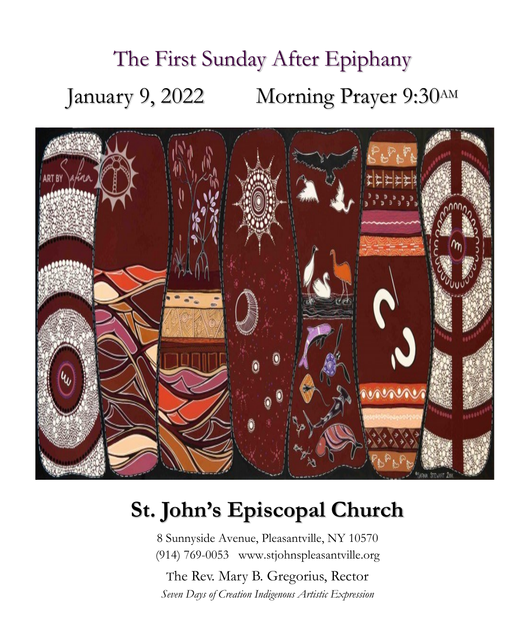# The First Sunday After Epiphany January 9, 2022 Morning Prayer 9:30AM



## **St. John's Episcopal Church**

8 Sunnyside Avenue, Pleasantville, NY 10570 (914) 769-0053 www.stjohnspleasantville.org

The Rev. Mary B. Gregorius, Rector *Seven Days of Creation Indigenous Artistic Expression*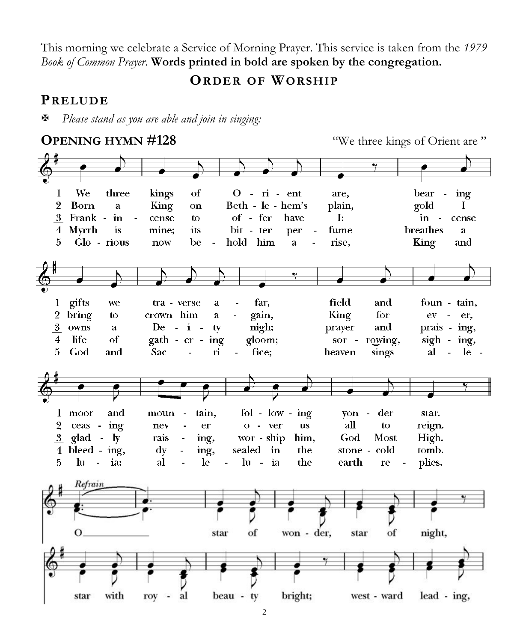This morning we celebrate a Service of Morning Prayer. This service is taken from the *1979 Book of Common Prayer*. **Words printed in bold are spoken by the congregation.**

**ORDER OF WORSHIP**

#### **PRELUDE**

*Please stand as you are able and join in singing:*

**OPENING HYMN #128** "We three kings of Orient are "  $\mathbf{1}$ We three kings of  $0 - \vec{n}$  -  $\vec{en}$ t are. bear ing  $\overline{2}$ Beth - le - hem's  $\mathbf I$ Born  $\mathbf{a}$ King plain, gold on 3 Frank - in of - fer  $\sim$   $\sim$ cense to have  $\mathbf{I}$ :  $\mathbf{in}$  cense breathes 4 Myrrh is mine; its bit - ter fume a per 5 Glo - rious now be hold him a rise, King and 1 gifts we tra - verse  $\mathbf{a}$ far. field and foun - tain, 2 bring  $\mathbf{t}$ crown him  $\overline{a}$ gain, King for  $ev - er$ , 3 owns  $De - i$ nigh; prayer and prais - ing, a ty life of rowing,  $sign - ing$ ,  $\overline{4}$ gath - er - ing gloom; sor - $\overline{5}$ God and Sac  $\dot{\mathbf{n}}$ fice: heaven sings al - le  $fol - low - ing$ 1 moor and moun tain. von - der star.  $\overline{2}$ ceas - ing nev er  $o - ver$ **us** all to reign.  $3$  glad -  $1v$ wor - ship God Most High. rais ing, him,  $4 \text{ bleeding - ing}$ , sealed in stone - cold tomb.  $\mathbf{d}\mathbf{v}$  $\overline{a}$ ing, the plies. 5 lu  $-$  ia: al le.  $\mathbf{r}$  $\ln -i$ the earth re Refrain  $\overline{O}$ star of won - der, star of night, star with roy al beau - ty bright; west - ward lead - ing,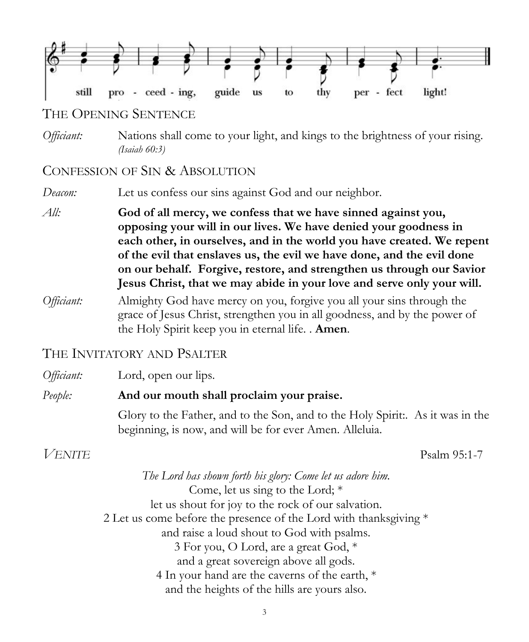

#### THE OPENING SENTENCE

*Officiant:* Nations shall come to your light, and kings to the brightness of your rising. *(Isaiah 60:3)*

#### CONFESSION OF SIN & ABSOLUTION

*Deacon:* Let us confess our sins against God and our neighbor.

*All:* **God of all mercy, we confess that we have sinned against you, opposing your will in our lives. We have denied your goodness in each other, in ourselves, and in the world you have created. We repent of the evil that enslaves us, the evil we have done, and the evil done on our behalf. Forgive, restore, and strengthen us through our Savior Jesus Christ, that we may abide in your love and serve only your will.** 

*Officiant:* Almighty God have mercy on you, forgive you all your sins through the grace of Jesus Christ, strengthen you in all goodness, and by the power of the Holy Spirit keep you in eternal life. . **Amen**.

#### THE INVITATORY AND PSALTER

| Officiant:    | Lord, open our lips.                                                                                                                      |
|---------------|-------------------------------------------------------------------------------------------------------------------------------------------|
| People:       | And our mouth shall proclaim your praise.                                                                                                 |
|               | Glory to the Father, and to the Son, and to the Holy Spirit:. As it was in the<br>beginning, is now, and will be for ever Amen. Alleluia. |
| <b>VENITE</b> | Psalm 95:1-7                                                                                                                              |

*The Lord has shown forth his glory: Come let us adore him.* Come, let us sing to the Lord; \* let us shout for joy to the rock of our salvation. 2 Let us come before the presence of the Lord with thanksgiving \* and raise a loud shout to God with psalms. 3 For you, O Lord, are a great God, \* and a great sovereign above all gods. 4 In your hand are the caverns of the earth, \* and the heights of the hills are yours also.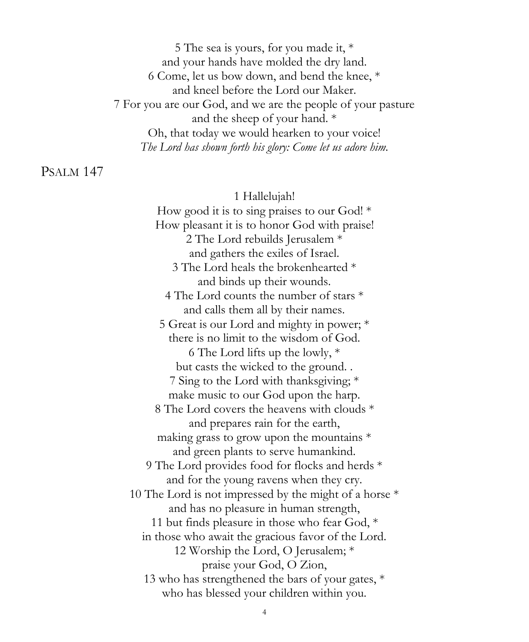5 The sea is yours, for you made it, \* and your hands have molded the dry land. 6 Come, let us bow down, and bend the knee, \* and kneel before the Lord our Maker. 7 For you are our God, and we are the people of your pasture and the sheep of your hand. \* Oh, that today we would hearken to your voice! *The Lord has shown forth his glory: Come let us adore him.*

#### PSALM 147

#### 1 Hallelujah!

How good it is to sing praises to our God! \* How pleasant it is to honor God with praise! 2 The Lord rebuilds Jerusalem \* and gathers the exiles of Israel. 3 The Lord heals the brokenhearted \* and binds up their wounds. 4 The Lord counts the number of stars \* and calls them all by their names. 5 Great is our Lord and mighty in power; \* there is no limit to the wisdom of God. 6 The Lord lifts up the lowly, \* but casts the wicked to the ground. . 7 Sing to the Lord with thanksgiving; \* make music to our God upon the harp. 8 The Lord covers the heavens with clouds \* and prepares rain for the earth, making grass to grow upon the mountains \* and green plants to serve humankind. 9 The Lord provides food for flocks and herds \* and for the young ravens when they cry. 10 The Lord is not impressed by the might of a horse \* and has no pleasure in human strength, 11 but finds pleasure in those who fear God, \* in those who await the gracious favor of the Lord. 12 Worship the Lord, O Jerusalem; \* praise your God, O Zion, 13 who has strengthened the bars of your gates, \* who has blessed your children within you.

4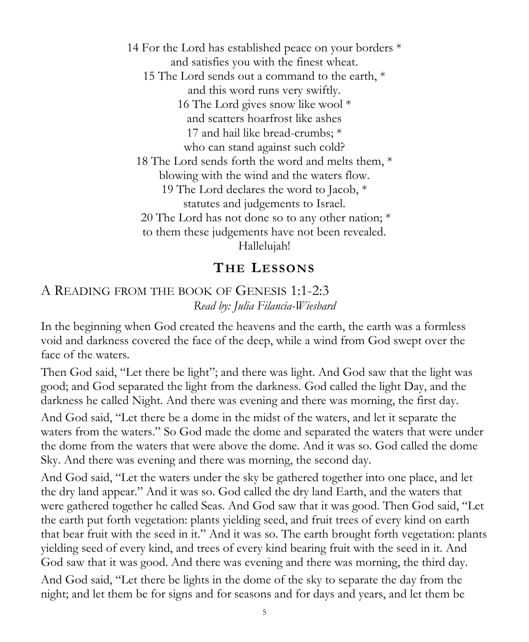14 For the Lord has established peace on your borders \* and satisfies you with the finest wheat. 15 The Lord sends out a command to the earth, \* and this word runs very swiftly. 16 The Lord gives snow like wool \* and scatters hoarfrost like ashes 17 and hail like bread-crumbs; \* who can stand against such cold? 18 The Lord sends forth the word and melts them, \* blowing with the wind and the waters flow. 19 The Lord declares the word to Jacob, \* statutes and judgements to Israel. 20 The Lord has not done so to any other nation; \* to them these judgements have not been revealed. Hallelujah!

## **THE LESSONS**

#### A READING FROM THE BOOK OF GENESIS 1:1-2:3 *Read by: Julia Filancia-Wiesbard*

In the beginning when God created the heavens and the earth, the earth was a formless void and darkness covered the face of the deep, while a wind from God swept over the face of the waters.

Then God said, "Let there be light"; and there was light. And God saw that the light was good; and God separated the light from the darkness. God called the light Day, and the darkness he called Night. And there was evening and there was morning, the first day.

And God said, "Let there be a dome in the midst of the waters, and let it separate the waters from the waters." So God made the dome and separated the waters that were under the dome from the waters that were above the dome. And it was so. God called the dome Sky. And there was evening and there was morning, the second day.

And God said, "Let the waters under the sky be gathered together into one place, and let the dry land appear." And it was so. God called the dry land Earth, and the waters that were gathered together he called Seas. And God saw that it was good. Then God said, "Let the earth put forth vegetation: plants yielding seed, and fruit trees of every kind on earth that bear fruit with the seed in it." And it was so. The earth brought forth vegetation: plants yielding seed of every kind, and trees of every kind bearing fruit with the seed in it. And God saw that it was good. And there was evening and there was morning, the third day.

And God said, "Let there be lights in the dome of the sky to separate the day from the night; and let them be for signs and for seasons and for days and years, and let them be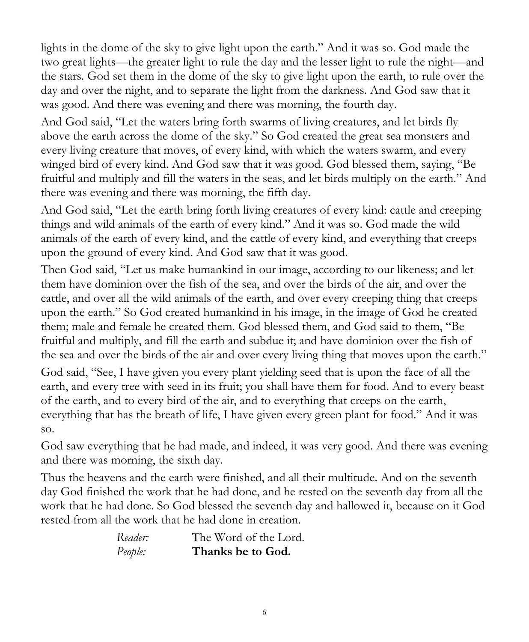lights in the dome of the sky to give light upon the earth." And it was so. God made the two great lights—the greater light to rule the day and the lesser light to rule the night—and the stars. God set them in the dome of the sky to give light upon the earth, to rule over the day and over the night, and to separate the light from the darkness. And God saw that it was good. And there was evening and there was morning, the fourth day.

And God said, "Let the waters bring forth swarms of living creatures, and let birds fly above the earth across the dome of the sky." So God created the great sea monsters and every living creature that moves, of every kind, with which the waters swarm, and every winged bird of every kind. And God saw that it was good. God blessed them, saying, "Be fruitful and multiply and fill the waters in the seas, and let birds multiply on the earth." And there was evening and there was morning, the fifth day.

And God said, "Let the earth bring forth living creatures of every kind: cattle and creeping things and wild animals of the earth of every kind." And it was so. God made the wild animals of the earth of every kind, and the cattle of every kind, and everything that creeps upon the ground of every kind. And God saw that it was good.

Then God said, "Let us make humankind in our image, according to our likeness; and let them have dominion over the fish of the sea, and over the birds of the air, and over the cattle, and over all the wild animals of the earth, and over every creeping thing that creeps upon the earth." So God created humankind in his image, in the image of God he created them; male and female he created them. God blessed them, and God said to them, "Be fruitful and multiply, and fill the earth and subdue it; and have dominion over the fish of the sea and over the birds of the air and over every living thing that moves upon the earth."

God said, "See, I have given you every plant yielding seed that is upon the face of all the earth, and every tree with seed in its fruit; you shall have them for food. And to every beast of the earth, and to every bird of the air, and to everything that creeps on the earth, everything that has the breath of life, I have given every green plant for food." And it was so.

God saw everything that he had made, and indeed, it was very good. And there was evening and there was morning, the sixth day.

Thus the heavens and the earth were finished, and all their multitude. And on the seventh day God finished the work that he had done, and he rested on the seventh day from all the work that he had done. So God blessed the seventh day and hallowed it, because on it God rested from all the work that he had done in creation.

| Reader: | The Word of the Lord. |
|---------|-----------------------|
| People: | Thanks be to God.     |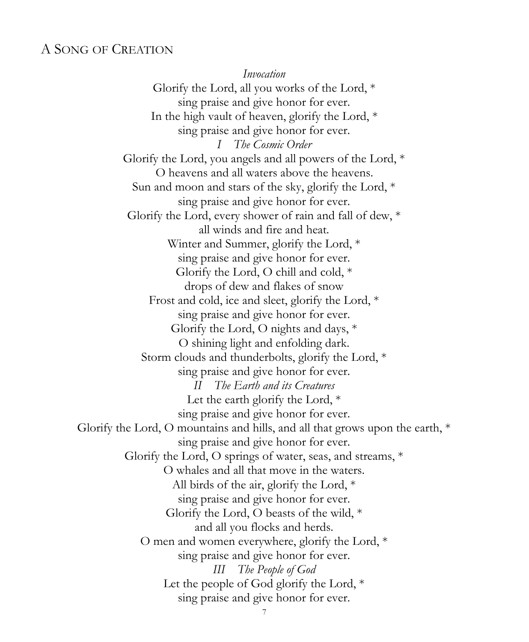#### A SONG OF CREATION

*Invocation* Glorify the Lord, all you works of the Lord, \* sing praise and give honor for ever. In the high vault of heaven, glorify the Lord, \* sing praise and give honor for ever. *I The Cosmic Order* Glorify the Lord, you angels and all powers of the Lord, \* O heavens and all waters above the heavens. Sun and moon and stars of the sky, glorify the Lord, \* sing praise and give honor for ever. Glorify the Lord, every shower of rain and fall of dew, \* all winds and fire and heat. Winter and Summer, glorify the Lord, \* sing praise and give honor for ever. Glorify the Lord, O chill and cold, \* drops of dew and flakes of snow Frost and cold, ice and sleet, glorify the Lord, \* sing praise and give honor for ever. Glorify the Lord, O nights and days, \* O shining light and enfolding dark. Storm clouds and thunderbolts, glorify the Lord, \* sing praise and give honor for ever. *II The Earth and its Creatures* Let the earth glorify the Lord, \* sing praise and give honor for ever. Glorify the Lord, O mountains and hills, and all that grows upon the earth, \* sing praise and give honor for ever. Glorify the Lord, O springs of water, seas, and streams, \* O whales and all that move in the waters. All birds of the air, glorify the Lord, \* sing praise and give honor for ever. Glorify the Lord, O beasts of the wild, \* and all you flocks and herds. O men and women everywhere, glorify the Lord, \* sing praise and give honor for ever. *III The People of God* Let the people of God glorify the Lord, \* sing praise and give honor for ever.

7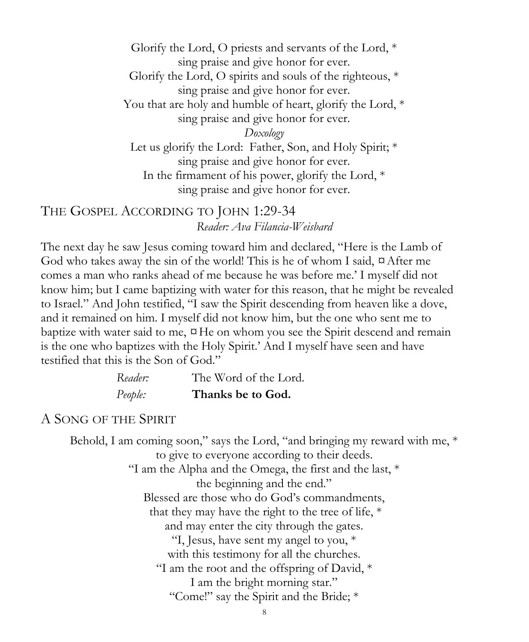Glorify the Lord, O priests and servants of the Lord, \* sing praise and give honor for ever. Glorify the Lord, O spirits and souls of the righteous, \* sing praise and give honor for ever. You that are holy and humble of heart, glorify the Lord, \* sing praise and give honor for ever. *Doxology* Let us glorify the Lord: Father, Son, and Holy Spirit; \* sing praise and give honor for ever. In the firmament of his power, glorify the Lord, \* sing praise and give honor for ever.

THE GOSPEL ACCORDING TO JOHN 1:29-34 *Reader: Ava Filancia-Weisbard*

The next day he saw Jesus coming toward him and declared, "Here is the Lamb of God who takes away the sin of the world! This is he of whom I said,  $\alpha$  After me comes a man who ranks ahead of me because he was before me.' I myself did not know him; but I came baptizing with water for this reason, that he might be revealed to Israel." And John testified, "I saw the Spirit descending from heaven like a dove, and it remained on him. I myself did not know him, but the one who sent me to baptize with water said to me,  $\alpha$ He on whom you see the Spirit descend and remain is the one who baptizes with the Holy Spirit.' And I myself have seen and have testified that this is the Son of God."

| Reader: | The Word of the Lord. |
|---------|-----------------------|
| People: | Thanks be to God.     |

#### A SONG OF THE SPIRIT

Behold, I am coming soon," says the Lord, "and bringing my reward with me,  $*$ to give to everyone according to their deeds. "I am the Alpha and the Omega, the first and the last,  $*$ the beginning and the end." Blessed are those who do God's commandments, that they may have the right to the tree of life, \* and may enter the city through the gates. "I, Jesus, have sent my angel to you, \* with this testimony for all the churches. "I am the root and the offspring of David, \* I am the bright morning star." "Come!" say the Spirit and the Bride; \*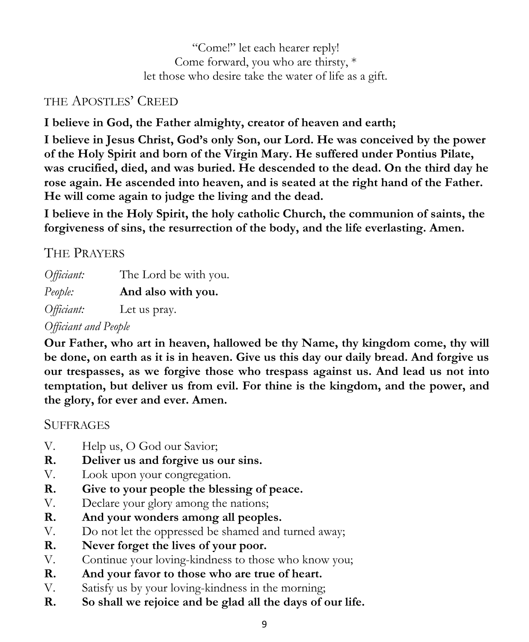"Come!" let each hearer reply! Come forward, you who are thirsty, \* let those who desire take the water of life as a gift.

## THE APOSTLES' CREED

**I believe in God, the Father almighty, creator of heaven and earth;**

**I believe in Jesus Christ, God's only Son, our Lord. He was conceived by the power of the Holy Spirit and born of the Virgin Mary. He suffered under Pontius Pilate, was crucified, died, and was buried. He descended to the dead. On the third day he rose again. He ascended into heaven, and is seated at the right hand of the Father. He will come again to judge the living and the dead.**

**I believe in the Holy Spirit, the holy catholic Church, the communion of saints, the forgiveness of sins, the resurrection of the body, and the life everlasting. Amen.**

## THE PRAYERS

*Officiant:* The Lord be with you. *People:* **And also with you.** *Officiant:* Let us pray.

## *Officiant and People*

**Our Father, who art in heaven, hallowed be thy Name, thy kingdom come, thy will be done, on earth as it is in heaven. Give us this day our daily bread. And forgive us our trespasses, as we forgive those who trespass against us. And lead us not into temptation, but deliver us from evil. For thine is the kingdom, and the power, and the glory, for ever and ever. Amen.**

## **SUFFRAGES**

- V. Help us, O God our Savior;
- **R. Deliver us and forgive us our sins.**
- V. Look upon your congregation.
- **R. Give to your people the blessing of peace.**
- V. Declare your glory among the nations;
- **R. And your wonders among all peoples.**
- V. Do not let the oppressed be shamed and turned away;
- **R. Never forget the lives of your poor.**
- V. Continue your loving-kindness to those who know you;
- **R. And your favor to those who are true of heart.**
- V. Satisfy us by your loving-kindness in the morning;
- **R. So shall we rejoice and be glad all the days of our life.**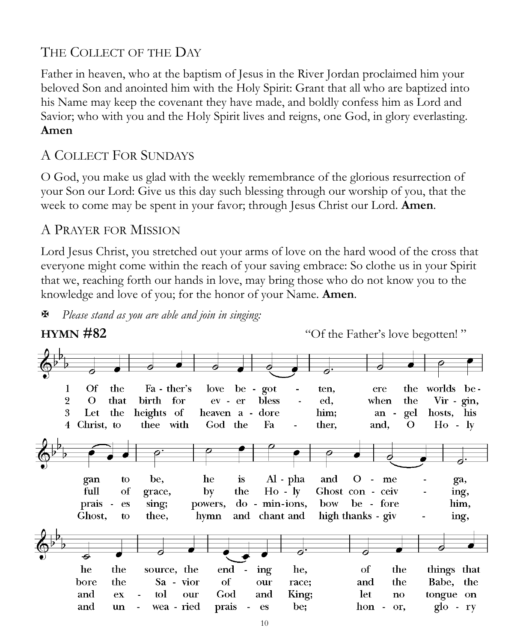## THE COLLECT OF THE DAY

Father in heaven, who at the baptism of Jesus in the River Jordan proclaimed him your beloved Son and anointed him with the Holy Spirit: Grant that all who are baptized into his Name may keep the covenant they have made, and boldly confess him as Lord and Savior; who with you and the Holy Spirit lives and reigns, one God, in glory everlasting. **Amen** 

### A COLLECT FOR SUNDAYS

O God, you make us glad with the weekly remembrance of the glorious resurrection of your Son our Lord: Give us this day such blessing through our worship of you, that the week to come may be spent in your favor; through Jesus Christ our Lord. **Amen**.

#### A PRAYER FOR MISSION

Lord Jesus Christ, you stretched out your arms of love on the hard wood of the cross that everyone might come within the reach of your saving embrace: So clothe us in your Spirit that we, reaching forth our hands in love, may bring those who do not know you to the knowledge and love of you; for the honor of your Name. **Amen**.

*Please stand as you are able and join in singing:*

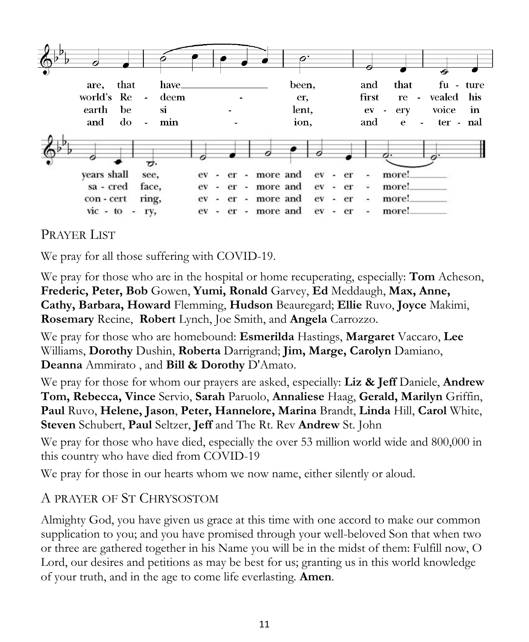

## PRAYER LIST

We pray for all those suffering with COVID-19.

We pray for those who are in the hospital or home recuperating, especially: **Tom** Acheson, **Frederic, Peter, Bob** Gowen, **Yumi, Ronald** Garvey, **Ed** Meddaugh, **Max, Anne, Cathy, Barbara, Howard** Flemming, **Hudson** Beauregard; **Ellie** Ruvo, **Joyce** Makimi, **Rosemary** Recine, **Robert** Lynch, Joe Smith, and **Angela** Carrozzo.

We pray for those who are homebound: **Esmerilda** Hastings, **Margaret** Vaccaro, **Lee** Williams, **Dorothy** Dushin, **Roberta** Darrigrand; **Jim, Marge, Carolyn** Damiano, **Deanna** Ammirato , and **Bill & Dorothy** D'Amato.

We pray for those for whom our prayers are asked, especially: **Liz & Jeff** Daniele, **Andrew Tom, Rebecca, Vince** Servio, **Sarah** Paruolo, **Annaliese** Haag, **Gerald, Marilyn** Griffin, **Paul** Ruvo, **Helene, Jason**, **Peter, Hannelore, Marina** Brandt, **Linda** Hill, **Carol** White, **Steven** Schubert, **Paul** Seltzer, **Jeff** and The Rt. Rev **Andrew** St. John

We pray for those who have died, especially the over 53 million world wide and 800,000 in this country who have died from COVID-19

We pray for those in our hearts whom we now name, either silently or aloud.

#### A PRAYER OF ST CHRYSOSTOM

Almighty God, you have given us grace at this time with one accord to make our common supplication to you; and you have promised through your well-beloved Son that when two or three are gathered together in his Name you will be in the midst of them: Fulfill now, O Lord, our desires and petitions as may be best for us; granting us in this world knowledge of your truth, and in the age to come life everlasting. **Amen**.